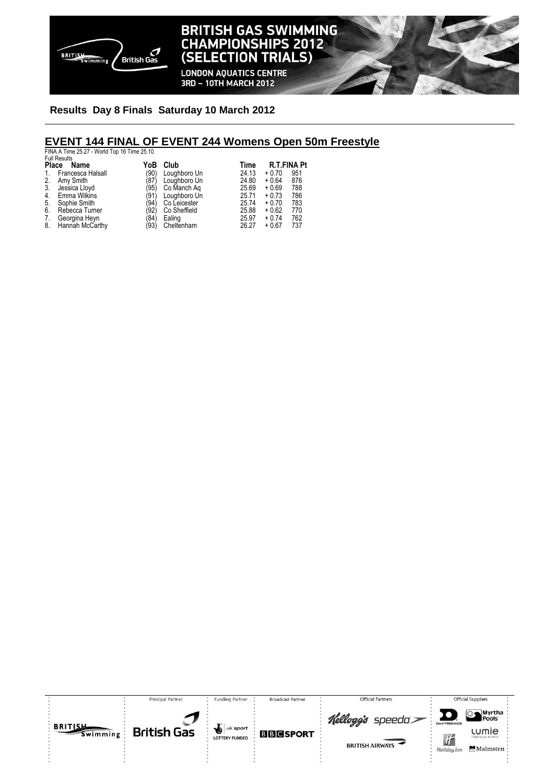

## **BRITISH GAS SWIMMING CHAMPIONSHIPS 2012** (SELECTION TRIALS) **LONDON AQUATICS CENTRE**

3RD - 10TH MARCH 2012

#### **Results Day 8 Finals Saturday 10 March 2012**

## **EVENT 144 FINAL OF EVENT 244 Womens Open 50m Freestyle**

|                      | FINA A Time 25.27 - World Top 16 Time 25.10 |      |              |       |                    |     |
|----------------------|---------------------------------------------|------|--------------|-------|--------------------|-----|
|                      | <b>Full Results</b>                         |      |              |       |                    |     |
| Place<br>YoB<br>Name |                                             | Club | Time         |       | <b>R.T.FINA Pt</b> |     |
| 1.                   | Francesca Halsall                           | (90) | Loughboro Un | 24.13 | $+0.70$            | 951 |
|                      | 2. Amy Smith                                | (87) | Loughboro Un | 24.80 | $+0.64$            | 876 |
| 3.                   | Jessica Lloyd                               | (95) | Co Manch Ag  | 25.69 | $+0.69$            | 788 |
| 4.                   | Emma Wilkins                                | (91) | Loughboro Un | 25.71 | $+0.73$            | 786 |
| 5.                   | Sophie Smith                                | (94) | Co Leicester | 25.74 | $+0.70$            | 783 |
| 6.                   | Rebecca Turner                              | (92) | Co Sheffield | 25.88 | $+0.62$            | 770 |
| 7.                   | Georgina Heyn                               | (84) | Ealing       | 25.97 | $+0.74$            | 762 |
| 8.                   | Hannah McCarthy                             | (93) | Cheltenham   | 26.27 | $+0.67$            | 737 |
|                      |                                             |      |              |       |                    |     |

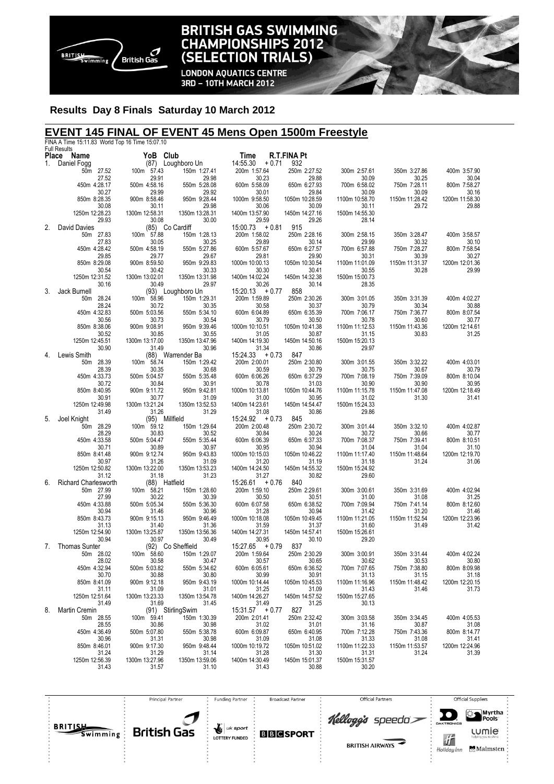

# **BRITISH GAS SWIMMING CHAMPIONSHIPS 2012** (SELECTION TRIALS)

**LONDON AQUATICS CENTRE** 3RD - 10TH MARCH 2012

#### **Results Day 8 Finals Saturday 10 March 2012**

# **EVENT 145 FINAL OF EVENT 45 Mens Open 1500m Freestyle**  FINA A Time 15:11.83 World Top 16 Time 15:07.10

|             | <b>Full Results</b>                      |                                |                                   |                                   |                                  |                                  |                                  |                                  |
|-------------|------------------------------------------|--------------------------------|-----------------------------------|-----------------------------------|----------------------------------|----------------------------------|----------------------------------|----------------------------------|
| Place<br>1. | Name<br>Daniel Fogg                      | YoB Club                       | (87) Loughboro Un                 | Time<br>14:55.30<br>$+0.71$       | <b>R.T.FINA Pt</b><br>932        |                                  |                                  |                                  |
|             | 50m 27.52                                | 100m 57.43                     | 150m 1:27.41                      | 200m 1:57.64                      | 250m 2:27.52                     | 300m 2:57.61                     | 350m 3:27.86                     | 400m 3:57.90                     |
|             | 27.52<br>450m 4:28.17                    | 29.91<br>500m 4:58.16          | 29.98<br>550m 5:28.08             | 30.23<br>600m 5:58.09             | 29.88<br>650m 6:27.93            | 30.09<br>700m 6:58.02            | 30.25<br>750m 7:28.11            | 30.04<br>800m 7:58.27            |
|             | 30.27<br>850m 8:28.35<br>30.08           | 29.99<br>900m 8:58.46<br>30.11 | 29.92<br>950m 9:28.44<br>29.98    | 30.01<br>1000m 9:58.50<br>30.06   | 29.84<br>1050m 10:28.59<br>30.09 | 30.09<br>1100m 10:58.70<br>30.11 | 30.09<br>1150m 11:28.42<br>29.72 | 30.16<br>1200m 11:58.30<br>29.88 |
|             | 1250m 12:28.23<br>29.93                  | 1300m 12:58.31<br>30.08        | 1350m 13:28.31<br>30.00           | 1400m 13:57.90<br>29.59           | 1450m 14:27.16<br>29.26          | 1500m 14:55.30<br>28.14          |                                  |                                  |
| 2.          | David Davies                             |                                | (85) Co Cardiff                   | 15:00.73<br>+ 0.81                | 915                              |                                  |                                  |                                  |
|             | 50m 27.83<br>27.83                       | 100m 57.88<br>30.05            | 150m 1:28.13<br>30.25             | 200m 1:58.02<br>29.89             | 250m 2:28.16<br>30.14            | 300m 2:58.15<br>29.99            | 350m 3:28.47<br>30.32            | 400m 3:58.57<br>30.10            |
|             | 450m 4:28.42<br>29.85                    | 500m 4:58.19<br>29.77          | 550m 5:27.86<br>29.67             | 600m 5:57.67<br>29.81             | 650m 6:27.57<br>29.90            | 700m 6:57.88<br>30.31            | 750m 7:28.27<br>30.39            | 800m 7:58.54<br>30.27            |
|             | 850m 8:29.08<br>30.54                    | 900m 8:59.50<br>30.42          | 950m 9:29.83<br>30.33             | 1000m 10:00.13<br>30.30           | 1050m 10:30.54<br>30.41          | 1100m 11:01.09<br>30.55          | 1150m 11:31.37<br>30.28          | 1200m 12:01.36<br>29.99          |
|             | 1250m 12:31.52<br>30.16                  | 1300m 13:02.01<br>30.49        | 1350m 13:31.98<br>29.97           | 1400m 14:02.24<br>30.26           | 1450m 14:32.38<br>30.14          | 1500m 15:00.73<br>28.35          |                                  |                                  |
| 3.          | Jack Burnell<br>50m 28.24                |                                | (93) Loughboro Un                 | $15:20.13 + 0.77$                 | 858                              |                                  |                                  |                                  |
|             | 28.24                                    | 100m 58.96<br>30.72            | 150m 1:29.31<br>30.35             | 200m 1:59.89<br>30.58             | 250m 2:30.26<br>30.37            | 300m 3:01.05<br>30.79            | 350m 3:31.39<br>30.34            | 400m 4:02.27<br>30.88            |
|             | 450m 4:32.83                             | 500m 5:03.56                   | 550m 5:34.10                      | 600m 6:04.89                      | 650m 6:35.39                     | 700m 7:06.17                     | 750m 7:36.77                     | 800m 8:07.54                     |
|             | 30.56<br>850m 8:38.06                    | 30.73<br>900m 9:08.91          | 30.54<br>950m 9:39.46             | 30.79<br>1000m 10:10.51           | 30.50<br>1050m 10:41.38          | 30.78<br>1100m 11:12.53          | 30.60<br>1150m 11:43.36          | 30.77<br>1200m 12:14.61          |
|             | 30.52                                    | 30.85                          | 30.55                             | 31.05                             | 30.87                            | 31.15                            | 30.83                            | 31.25                            |
|             | 1250m 12:45.51<br>30.90                  | 1300m 13:17.00<br>31.49        | 1350m 13:47.96<br>30.96           | 1400m 14:19.30<br>31.34           | 1450m 14:50.16<br>30.86          | 1500m 15:20.13<br>29.97          |                                  |                                  |
| 4.          | Lewis Smith                              |                                | (88) Warrender Ba                 | 15:24.33<br>+ 0.73                | 847                              |                                  |                                  |                                  |
|             | 50m 28.39                                | 100m 58.74                     | 150m 1:29.42                      | 200m 2:00.01                      | 250m 2:30.80                     | 300m 3:01.55                     | 350m 3:32.22                     | 400m 4:03.01                     |
|             | 28.39<br>450m 4:33.73                    | 30.35<br>500m 5:04.57          | 30.68<br>550m 5:35.48             | 30.59<br>600m 6:06.26             | 30.79<br>650m 6:37.29            | 30.75<br>700m 7:08.19            | 30.67<br>750m 7:39.09            | 30.79<br>800m 8:10.04            |
|             | 30.72                                    | 30.84                          | 30.91                             | 30.78                             | 31.03                            | 30.90                            | 30.90                            | 30.95                            |
|             | 850m 8:40.95<br>30.91                    | 900m 9:11.72<br>30.77          | 950m 9:42.81<br>31.09             | 1000m 10:13.81<br>31.00           | 1050m 10:44.76<br>30.95          | 1100m 11:15.78<br>31.02          | 1150m 11:47.08<br>31.30          | 1200m 12:18.49<br>31.41          |
|             | 1250m 12:49.98                           | 1300m 13:21.24                 | 1350m 13:52.53                    | 1400m 14:23.61                    | 1450m 14:54.47                   | 1500m 15:24.33                   |                                  |                                  |
| 5.          | 31.49<br>Joel Knight                     | 31.26                          | 31.29<br>(95) Millfield           | 31.08<br>15:24.92<br>$+0.73$      | 30.86<br>845                     | 29.86                            |                                  |                                  |
|             | 50m 28.29                                | 100m 59.12                     | 150m 1:29.64                      | 200m 2:00.48                      | 250m 2:30.72                     | 300m 3:01.44                     | 350m 3:32.10                     | 400m 4:02.87                     |
|             | 28.29                                    | 30.83                          | 30.52                             | 30.84                             | 30.24                            | 30.72                            | 30.66                            | 30.77                            |
|             | 450m 4:33.58<br>30.71                    | 500m 5:04.47<br>30.89          | 550m 5:35.44<br>30.97             | 600m 6:06.39<br>30.95             | 650m 6:37.33<br>30.94            | 700m 7:08.37<br>31.04            | 750m 7:39.41<br>31.04            | 800m 8:10.51<br>31.10            |
|             | 850m 8:41.48                             | 900m 9:12.74                   | 950m 9:43.83                      | 1000m 10:15.03                    | 1050m 10:46.22                   | 1100m 11:17.40                   | 1150m 11:48.64                   | 1200m 12:19.70                   |
|             | 30.97<br>1250m 12:50.82                  | 31.26<br>1300m 13:22.00        | 31.09<br>1350m 13:53.23           | 31.20<br>1400m 14:24.50           | 31.19<br>1450m 14:55.32          | 31.18<br>1500m 15:24.92          | 31.24                            | 31.06                            |
|             | 31.12                                    | 31.18                          | 31.23                             | 31.27                             | 30.82                            | 29.60                            |                                  |                                  |
| 6.          | <b>Richard Charlesworth</b><br>50m 27.99 | 100m 58.21                     | (88) Hatfield<br>150m 1:28.60     | 15:26.61<br>200m 1:59.10          | $+0.76$<br>840<br>250m 2:29.61   | 300m 3:00.61                     | 350m 3:31.69                     | 400m 4:02.94                     |
|             | 27.99                                    | 30.22                          | 30.39                             | 30.50                             | 30.51                            | 31.00                            | 31.08                            | 31.25                            |
|             | 450m 4:33.88<br>30.94                    | 500m 5:05.34<br>31.46          | 550m 5:36.30<br>30.96             | 600m 6:07.58<br>31.28             | 650m 6:38.52<br>30.94            | 700m 7:09.94<br>31.42            | 750m 7:41.14<br>31.20            | 800m 8:12.60<br>31.46            |
|             | 850m 8:43.73                             | 900m 9:15.13                   | 950m 9:46.49                      | 1000m 10:18.08                    | 1050m 10:49.45                   | 1100m 11:21.05                   | 1150m 11:52.54                   | 1200m 12:23.96                   |
|             | 31.13                                    | 31.40                          | 31.36                             | 31.59                             | 31.37                            | 31.60                            | 31.49                            | 31.42                            |
|             | 1250m 12:54.90<br>30.94                  | 1300m 13:25.87<br>30.97        | 1350m 13:56.36<br>30.49           | 1400m 14:27.31<br>30.95           | 1450m 14:57.41<br>30.10          | 1500m 15:26.61<br>29.20          |                                  |                                  |
| 7.          | <b>Thomas Sunter</b>                     |                                | (92) Co Sheffield                 | + 0.79<br>15:27.65                | 837                              |                                  |                                  |                                  |
|             | 50m 28.02                                | 100m 58.60<br>30.58            | 150m 1:29.07                      | 200m 1:59.64                      | 250m 2:30.29                     | 300m 3:00.91                     | 350m 3:31.44                     | 400m 4:02.24                     |
|             | 28.02<br>450m 4:32.94<br>30.70           | 500m 5:03.82<br>30.88          | 30.47<br>550m 5:34.62<br>30.80    | 30.57<br>600m 6:05.61<br>30.99    | 30.65<br>650m 6:36.52<br>30.91   | 30.62<br>700m 7:07.65<br>31.13   | 30.53<br>750m 7:38.80<br>31.15   | 30.80<br>800m 8:09.98<br>31.18   |
|             | 850m 8:41.09                             | 900m 9:12.18                   | 950m 9:43.19                      | 1000m 10:14.44                    | 1050m 10:45.53                   | 1100m 11:16.96                   | 1150m 11:48.42                   | 1200m 12:20.15                   |
|             | 31.11<br>1250m 12:51.64                  | 31.09<br>1300m 13:23.33        | 31.01<br>1350m 13:54.78           | 31.25<br>1400m 14:26.27           | 31.09<br>1450m 14:57.52          | 31.43<br>1500m 15:27.65          | 31.46                            | 31.73                            |
|             | 31.49                                    | 31.69                          | 31.45                             | 31.49                             | 31.25                            | 30.13                            |                                  |                                  |
| 8.          | Martin Cremin<br>50m 28.55               |                                | (91) StirlingSwim<br>150m 1:30.39 | $15:31.57 + 0.77$<br>200m 2:01.41 | 827<br>250m 2:32.42              | 300m 3:03.58                     | 350m 3:34.45                     | 400m 4:05.53                     |
|             | 28.55                                    | 100m 59.41<br>30.86            | 30.98                             | 31.02                             | 31.01                            | 31.16                            | 30.87                            | 31.08                            |
|             | 450m 4:36.49                             | 500m 5:07.80                   | 550m 5:38.78                      | 600m 6:09.87                      | 650m 6:40.95                     | 700m 7:12.28                     | 750m 7:43.36                     | 800m 8:14.77                     |
|             | 30.96<br>850m 8:46.01                    | 31.31<br>900m 9:17.30          | 30.98<br>950m 9:48.44             | 31.09<br>1000m 10:19.72           | 31.08<br>1050m 10:51.02          | 31.33<br>1100m 11:22.33          | 31.08<br>1150m 11:53.57          | 31.41<br>1200m 12:24.96          |
|             | 31.24                                    | 31.29                          | 31.14                             | 31.28                             | 31.30                            | 31.31                            | 31.24                            | 31.39                            |
|             | 1250m 12:56.39<br>31.43                  | 1300m 13:27.96<br>31.57        | 1350m 13:59.06<br>31.10           | 1400m 14:30.49<br>31.43           | 1450m 15:01.37<br>30.88          | 1500m 15:31.57<br>30.20          |                                  |                                  |